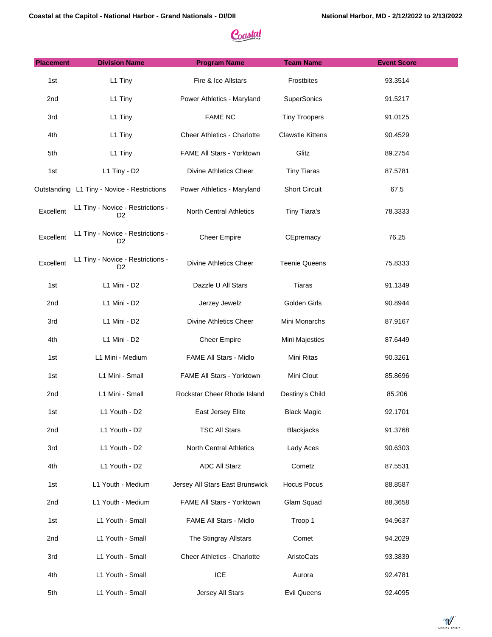| <b>Placement</b> | <b>Division Name</b>                                | <b>Program Name</b>                | <b>Team Name</b>        | <b>Event Score</b> |
|------------------|-----------------------------------------------------|------------------------------------|-------------------------|--------------------|
| 1st              | L1 Tiny                                             | Fire & Ice Allstars                | Frostbites              | 93.3514            |
| 2nd              | L1 Tiny                                             | Power Athletics - Maryland         | <b>SuperSonics</b>      | 91.5217            |
| 3rd              | L1 Tiny                                             | <b>FAME NC</b>                     | <b>Tiny Troopers</b>    | 91.0125            |
| 4th              | L1 Tiny                                             | <b>Cheer Athletics - Charlotte</b> | <b>Clawstle Kittens</b> | 90.4529            |
| 5th              | L1 Tiny                                             | FAME All Stars - Yorktown          | Glitz                   | 89.2754            |
| 1st              | L1 Tiny - D2                                        | <b>Divine Athletics Cheer</b>      | <b>Tiny Tiaras</b>      | 87.5781            |
|                  | Outstanding L1 Tiny - Novice - Restrictions         | Power Athletics - Maryland         | <b>Short Circuit</b>    | 67.5               |
| Excellent        | L1 Tiny - Novice - Restrictions -<br>D <sub>2</sub> | <b>North Central Athletics</b>     | Tiny Tiara's            | 78.3333            |
| Excellent        | L1 Tiny - Novice - Restrictions -<br>D <sub>2</sub> | <b>Cheer Empire</b>                | CEpremacy               | 76.25              |
| Excellent        | L1 Tiny - Novice - Restrictions -<br>D <sub>2</sub> | Divine Athletics Cheer             | <b>Teenie Queens</b>    | 75.8333            |
| 1st              | L1 Mini - D2                                        | Dazzle U All Stars                 | Tiaras                  | 91.1349            |
| 2nd              | L1 Mini - D2                                        | Jerzey Jewelz                      | Golden Girls            | 90.8944            |
| 3rd              | L1 Mini - D2                                        | Divine Athletics Cheer             | Mini Monarchs           | 87.9167            |
| 4th              | L1 Mini - D2                                        | <b>Cheer Empire</b>                | Mini Majesties          | 87.6449            |
| 1st              | L1 Mini - Medium                                    | FAME All Stars - Midlo             | Mini Ritas              | 90.3261            |
| 1st              | L1 Mini - Small                                     | FAME All Stars - Yorktown          | Mini Clout              | 85.8696            |
| 2nd              | L1 Mini - Small                                     | Rockstar Cheer Rhode Island        | Destiny's Child         | 85.206             |
| 1st              | L1 Youth - D2                                       | East Jersey Elite                  | Black Magic             | 92.1701            |
| 2nd              | L1 Youth - D2                                       | <b>TSC All Stars</b>               | Blackjacks              | 91.3768            |
| 3rd              | L1 Youth - D2                                       | North Central Athletics            | Lady Aces               | 90.6303            |
| 4th              | L1 Youth - D2                                       | <b>ADC All Starz</b>               | Cometz                  | 87.5531            |
| 1st              | L1 Youth - Medium                                   | Jersey All Stars East Brunswick    | <b>Hocus Pocus</b>      | 88.8587            |
| 2nd              | L1 Youth - Medium                                   | FAME All Stars - Yorktown          | Glam Squad              | 88.3658            |
| 1st              | L1 Youth - Small                                    | FAME All Stars - Midlo             | Troop 1                 | 94.9637            |
| 2nd              | L1 Youth - Small                                    | The Stingray Allstars              | Comet                   | 94.2029            |
| 3rd              | L1 Youth - Small                                    | Cheer Athletics - Charlotte        | AristoCats              | 93.3839            |
| 4th              | L1 Youth - Small                                    | ICE                                | Aurora                  | 92.4781            |
| 5th              | L1 Youth - Small                                    | Jersey All Stars                   | <b>Evil Queens</b>      | 92.4095            |

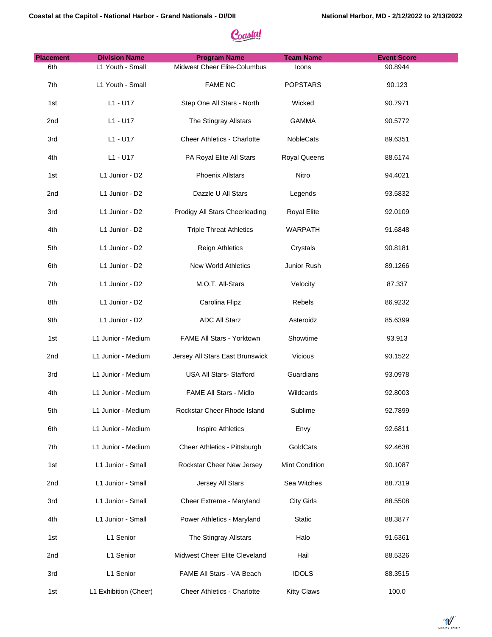| <b>Placement</b> | <b>Division Name</b>  | <b>Program Name</b>                | <b>Team Name</b>   | <b>Event Score</b> |
|------------------|-----------------------|------------------------------------|--------------------|--------------------|
| 6th              | L1 Youth - Small      | Midwest Cheer Elite-Columbus       | Icons              | 90.8944            |
| 7th              | L1 Youth - Small      | <b>FAME NC</b>                     | <b>POPSTARS</b>    | 90.123             |
| 1st              | L1 - U17              | Step One All Stars - North         | Wicked             | 90.7971            |
| 2nd              | $L1 - U17$            | The Stingray Allstars              | <b>GAMMA</b>       | 90.5772            |
| 3rd              | $L1 - U17$            | <b>Cheer Athletics - Charlotte</b> | NobleCats          | 89.6351            |
| 4th              | $L1 - U17$            | PA Royal Elite All Stars           | Royal Queens       | 88.6174            |
| 1st              | L1 Junior - D2        | <b>Phoenix Allstars</b>            | Nitro              | 94.4021            |
| 2nd              | L1 Junior - D2        | Dazzle U All Stars                 | Legends            | 93.5832            |
| 3rd              | L1 Junior - D2        | Prodigy All Stars Cheerleading     | <b>Royal Elite</b> | 92.0109            |
| 4th              | L1 Junior - D2        | <b>Triple Threat Athletics</b>     | <b>WARPATH</b>     | 91.6848            |
| 5th              | L1 Junior - D2        | <b>Reign Athletics</b>             | Crystals           | 90.8181            |
| 6th              | L1 Junior - D2        | New World Athletics                | Junior Rush        | 89.1266            |
| 7th              | L1 Junior - D2        | M.O.T. All-Stars                   | Velocity           | 87.337             |
| 8th              | L1 Junior - D2        | Carolina Flipz                     | Rebels             | 86.9232            |
| 9th              | L1 Junior - D2        | <b>ADC All Starz</b>               | Asteroidz          | 85.6399            |
| 1st              | L1 Junior - Medium    | FAME All Stars - Yorktown          | Showtime           | 93.913             |
| 2nd              | L1 Junior - Medium    | Jersey All Stars East Brunswick    | Vicious            | 93.1522            |
| 3rd              | L1 Junior - Medium    | USA All Stars- Stafford            | Guardians          | 93.0978            |
| 4th              | L1 Junior - Medium    | FAME All Stars - Midlo             | Wildcards          | 92.8003            |
| 5th              | L1 Junior - Medium    | Rockstar Cheer Rhode Island        | Sublime            | 92.7899            |
| 6th              | L1 Junior - Medium    | Inspire Athletics                  | Envy               | 92.6811            |
| 7th              | L1 Junior - Medium    | Cheer Athletics - Pittsburgh       | GoldCats           | 92.4638            |
| 1st              | L1 Junior - Small     | Rockstar Cheer New Jersey          | Mint Condition     | 90.1087            |
| 2nd              | L1 Junior - Small     | Jersey All Stars                   | Sea Witches        | 88.7319            |
| 3rd              | L1 Junior - Small     | Cheer Extreme - Maryland           | <b>City Girls</b>  | 88.5508            |
| 4th              | L1 Junior - Small     | Power Athletics - Maryland         | <b>Static</b>      | 88.3877            |
| 1st              | L1 Senior             | The Stingray Allstars              | Halo               | 91.6361            |
| 2nd              | L1 Senior             | Midwest Cheer Elite Cleveland      | Hail               | 88.5326            |
| 3rd              | L1 Senior             | FAME All Stars - VA Beach          | <b>IDOLS</b>       | 88.3515            |
| 1st              | L1 Exhibition (Cheer) | Cheer Athletics - Charlotte        | <b>Kitty Claws</b> | 100.0              |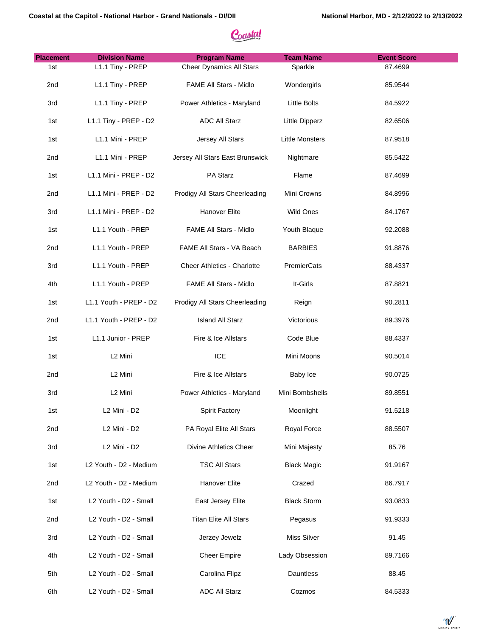| <b>Placement</b> | <b>Division Name</b>                 | <b>Program Name</b>                | <b>Team Name</b>       | <b>Event Score</b> |
|------------------|--------------------------------------|------------------------------------|------------------------|--------------------|
| 1st              | L1.1 Tiny - PREP                     | <b>Cheer Dynamics All Stars</b>    | Sparkle                | 87.4699            |
| 2nd              | L1.1 Tiny - PREP                     | FAME All Stars - Midlo             | Wondergirls            | 85.9544            |
| 3rd              | L1.1 Tiny - PREP                     | Power Athletics - Maryland         | <b>Little Bolts</b>    | 84.5922            |
| 1st              | L1.1 Tiny - PREP - D2                | <b>ADC All Starz</b>               | Little Dipperz         | 82.6506            |
| 1st              | L1.1 Mini - PREP                     | Jersey All Stars                   | <b>Little Monsters</b> | 87.9518            |
| 2nd              | L1.1 Mini - PREP                     | Jersey All Stars East Brunswick    | Nightmare              | 85.5422            |
| 1st              | L1.1 Mini - PREP - D2                | PA Starz                           | Flame                  | 87.4699            |
| 2nd              | L1.1 Mini - PREP - D2                | Prodigy All Stars Cheerleading     | Mini Crowns            | 84.8996            |
| 3rd              | L1.1 Mini - PREP - D2                | Hanover Elite                      | Wild Ones              | 84.1767            |
| 1st              | L1.1 Youth - PREP                    | FAME All Stars - Midlo             | Youth Blaque           | 92.2088            |
| 2nd              | L1.1 Youth - PREP                    | FAME All Stars - VA Beach          | <b>BARBIES</b>         | 91.8876            |
| 3rd              | L1.1 Youth - PREP                    | <b>Cheer Athletics - Charlotte</b> | PremierCats            | 88.4337            |
| 4th              | L1.1 Youth - PREP                    | FAME All Stars - Midlo             | It-Girls               | 87.8821            |
| 1st              | L1.1 Youth - PREP - D2               | Prodigy All Stars Cheerleading     | Reign                  | 90.2811            |
| 2nd              | L1.1 Youth - PREP - D2               | <b>Island All Starz</b>            | Victorious             | 89.3976            |
| 1st              | L1.1 Junior - PREP                   | Fire & Ice Allstars                | Code Blue              | 88.4337            |
| 1st              | L <sub>2</sub> Mini                  | ICE                                | Mini Moons             | 90.5014            |
| 2nd              | L <sub>2</sub> Mini                  | Fire & Ice Allstars                | Baby Ice               | 90.0725            |
| 3rd              | L <sub>2</sub> Mini                  | Power Athletics - Maryland         | Mini Bombshells        | 89.8551            |
| 1st              | L2 Mini - D2                         | Spirit Factory                     | Moonlight              | 91.5218            |
| 2nd              | L <sub>2</sub> Mini - D <sub>2</sub> | PA Royal Elite All Stars           | Royal Force            | 88.5507            |
| 3rd              | L2 Mini - D2                         | <b>Divine Athletics Cheer</b>      | Mini Majesty           | 85.76              |
| 1st              | L2 Youth - D2 - Medium               | <b>TSC All Stars</b>               | <b>Black Magic</b>     | 91.9167            |
| 2nd              | L2 Youth - D2 - Medium               | <b>Hanover Elite</b>               | Crazed                 | 86.7917            |
| 1st              | L2 Youth - D2 - Small                | East Jersey Elite                  | <b>Black Storm</b>     | 93.0833            |
| 2nd              | L2 Youth - D2 - Small                | Titan Elite All Stars              | Pegasus                | 91.9333            |
| 3rd              | L2 Youth - D2 - Small                | Jerzey Jewelz                      | Miss Silver            | 91.45              |
| 4th              | L2 Youth - D2 - Small                | <b>Cheer Empire</b>                | Lady Obsession         | 89.7166            |
| 5th              | L2 Youth - D2 - Small                | Carolina Flipz                     | Dauntless              | 88.45              |
| 6th              | L2 Youth - D2 - Small                | <b>ADC All Starz</b>               | Cozmos                 | 84.5333            |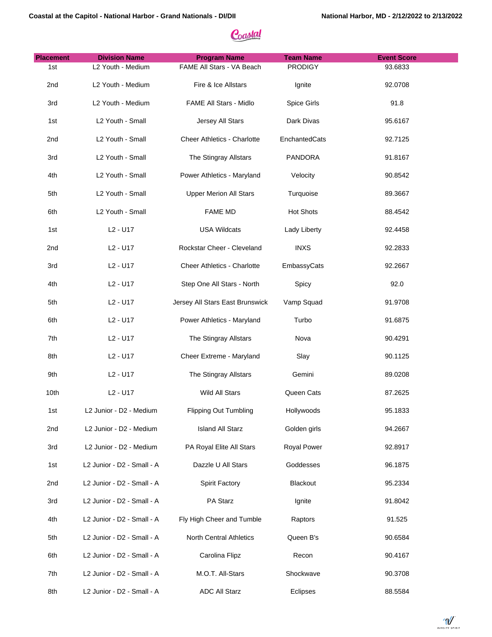| <b>Placement</b> | <b>Division Name</b>             | <b>Program Name</b>                | <b>Team Name</b>   | <b>Event Score</b> |
|------------------|----------------------------------|------------------------------------|--------------------|--------------------|
| 1st              | L2 Youth - Medium                | FAME All Stars - VA Beach          | <b>PRODIGY</b>     | 93.6833            |
| 2nd              | L2 Youth - Medium                | Fire & Ice Allstars                | Ignite             | 92.0708            |
| 3rd              | L2 Youth - Medium                | FAME All Stars - Midlo             | Spice Girls        | 91.8               |
| 1st              | L2 Youth - Small                 | Jersey All Stars                   | Dark Divas         | 95.6167            |
| 2 <sub>nd</sub>  | L2 Youth - Small                 | <b>Cheer Athletics - Charlotte</b> | EnchantedCats      | 92.7125            |
| 3rd              | L2 Youth - Small                 | The Stingray Allstars              | <b>PANDORA</b>     | 91.8167            |
| 4th              | L2 Youth - Small                 | Power Athletics - Maryland         | Velocity           | 90.8542            |
| 5th              | L2 Youth - Small                 | <b>Upper Merion All Stars</b>      | Turquoise          | 89.3667            |
| 6th              | L2 Youth - Small                 | <b>FAME MD</b>                     | <b>Hot Shots</b>   | 88.4542            |
| 1st              | L <sub>2</sub> - U <sub>17</sub> | <b>USA Wildcats</b>                | Lady Liberty       | 92.4458            |
| 2nd              | L <sub>2</sub> - U <sub>17</sub> | Rockstar Cheer - Cleveland         | <b>INXS</b>        | 92.2833            |
| 3rd              | L <sub>2</sub> - U <sub>17</sub> | Cheer Athletics - Charlotte        | EmbassyCats        | 92.2667            |
| 4th              | L <sub>2</sub> - U <sub>17</sub> | Step One All Stars - North         | Spicy              | 92.0               |
| 5th              | L <sub>2</sub> - U <sub>17</sub> | Jersey All Stars East Brunswick    | Vamp Squad         | 91.9708            |
| 6th              | L <sub>2</sub> - U <sub>17</sub> | Power Athletics - Maryland         | Turbo              | 91.6875            |
| 7th              | L <sub>2</sub> - U <sub>17</sub> | The Stingray Allstars              | Nova               | 90.4291            |
| 8th              | L <sub>2</sub> - U <sub>17</sub> | Cheer Extreme - Maryland           | Slay               | 90.1125            |
| 9th              | L <sub>2</sub> - U <sub>17</sub> | The Stingray Allstars              | Gemini             | 89.0208            |
| 10th             | L <sub>2</sub> - U <sub>17</sub> | Wild All Stars                     | Queen Cats         | 87.2625            |
| 1st              | L2 Junior - D2 - Medium          | Flipping Out Tumbling              | Hollywoods         | 95.1833            |
| 2nd              | L2 Junior - D2 - Medium          | <b>Island All Starz</b>            | Golden girls       | 94.2667            |
| 3rd              | L2 Junior - D2 - Medium          | PA Royal Elite All Stars           | <b>Royal Power</b> | 92.8917            |
| 1st              | L2 Junior - D2 - Small - A       | Dazzle U All Stars                 | Goddesses          | 96.1875            |
| 2nd              | L2 Junior - D2 - Small - A       | Spirit Factory                     | Blackout           | 95.2334            |
| 3rd              | L2 Junior - D2 - Small - A       | PA Starz                           | Ignite             | 91.8042            |
| 4th              | L2 Junior - D2 - Small - A       | Fly High Cheer and Tumble          | Raptors            | 91.525             |
| 5th              | L2 Junior - D2 - Small - A       | North Central Athletics            | Queen B's          | 90.6584            |
| 6th              | L2 Junior - D2 - Small - A       | Carolina Flipz                     | Recon              | 90.4167            |
| 7th              | L2 Junior - D2 - Small - A       | M.O.T. All-Stars                   | Shockwave          | 90.3708            |
| 8th              | L2 Junior - D2 - Small - A       | <b>ADC All Starz</b>               | Eclipses           | 88.5584            |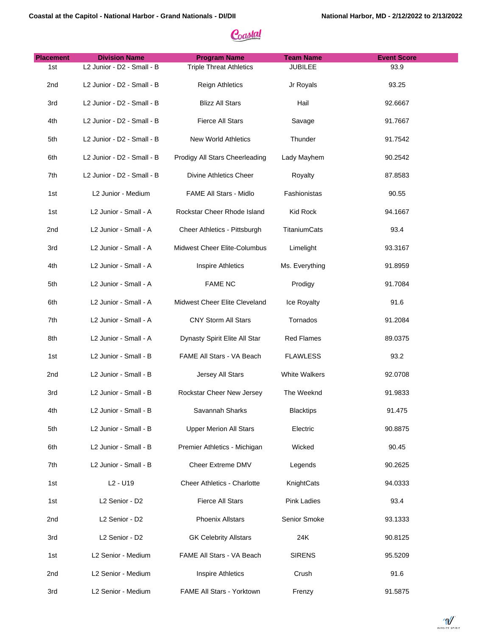| <b>Placement</b> | <b>Division Name</b>             | <b>Program Name</b>                | <b>Team Name</b>   | <b>Event Score</b> |
|------------------|----------------------------------|------------------------------------|--------------------|--------------------|
| 1st              | L2 Junior - D2 - Small - B       | <b>Triple Threat Athletics</b>     | <b>JUBILEE</b>     | 93.9               |
| 2nd              | L2 Junior - D2 - Small - B       | <b>Reign Athletics</b>             | Jr Royals          | 93.25              |
| 3rd              | L2 Junior - D2 - Small - B       | <b>Blizz All Stars</b>             | Hail               | 92.6667            |
| 4th              | L2 Junior - D2 - Small - B       | Fierce All Stars                   | Savage             | 91.7667            |
| 5th              | L2 Junior - D2 - Small - B       | <b>New World Athletics</b>         | Thunder            | 91.7542            |
| 6th              | L2 Junior - D2 - Small - B       | Prodigy All Stars Cheerleading     | Lady Mayhem        | 90.2542            |
| 7th              | L2 Junior - D2 - Small - B       | <b>Divine Athletics Cheer</b>      | Royalty            | 87.8583            |
| 1st              | L2 Junior - Medium               | FAME All Stars - Midlo             | Fashionistas       | 90.55              |
| 1st              | L2 Junior - Small - A            | Rockstar Cheer Rhode Island        | Kid Rock           | 94.1667            |
| 2 <sub>nd</sub>  | L2 Junior - Small - A            | Cheer Athletics - Pittsburgh       | TitaniumCats       | 93.4               |
| 3rd              | L2 Junior - Small - A            | Midwest Cheer Elite-Columbus       | Limelight          | 93.3167            |
| 4th              | L2 Junior - Small - A            | Inspire Athletics                  | Ms. Everything     | 91.8959            |
| 5th              | L2 Junior - Small - A            | <b>FAME NC</b>                     | Prodigy            | 91.7084            |
| 6th              | L2 Junior - Small - A            | Midwest Cheer Elite Cleveland      | Ice Royalty        | 91.6               |
| 7th              | L2 Junior - Small - A            | <b>CNY Storm All Stars</b>         | Tornados           | 91.2084            |
| 8th              | L2 Junior - Small - A            | Dynasty Spirit Elite All Star      | <b>Red Flames</b>  | 89.0375            |
| 1st              | L2 Junior - Small - B            | FAME All Stars - VA Beach          | <b>FLAWLESS</b>    | 93.2               |
| 2 <sub>nd</sub>  | L2 Junior - Small - B            | Jersey All Stars                   | White Walkers      | 92.0708            |
| 3rd              | L2 Junior - Small - B            | Rockstar Cheer New Jersey          | The Weeknd         | 91.9833            |
| 4th              | L2 Junior - Small - B            | Savannah Sharks                    | <b>Blacktips</b>   | 91.475             |
| 5th              | L2 Junior - Small - B            | <b>Upper Merion All Stars</b>      | Electric           | 90.8875            |
| 6th              | L2 Junior - Small - B            | Premier Athletics - Michigan       | Wicked             | 90.45              |
| 7th              | L2 Junior - Small - B            | Cheer Extreme DMV                  | Legends            | 90.2625            |
| 1st              | L <sub>2</sub> - U <sub>19</sub> | <b>Cheer Athletics - Charlotte</b> | KnightCats         | 94.0333            |
| 1st              | L2 Senior - D2                   | Fierce All Stars                   | <b>Pink Ladies</b> | 93.4               |
| 2 <sub>nd</sub>  | L2 Senior - D2                   | <b>Phoenix Allstars</b>            | Senior Smoke       | 93.1333            |
| 3rd              | L2 Senior - D2                   | <b>GK Celebrity Allstars</b>       | 24K                | 90.8125            |
| 1st              | L2 Senior - Medium               | FAME All Stars - VA Beach          | <b>SIRENS</b>      | 95.5209            |
| 2nd              | L2 Senior - Medium               | <b>Inspire Athletics</b>           | Crush              | 91.6               |
| 3rd              | L2 Senior - Medium               | FAME All Stars - Yorktown          | Frenzy             | 91.5875            |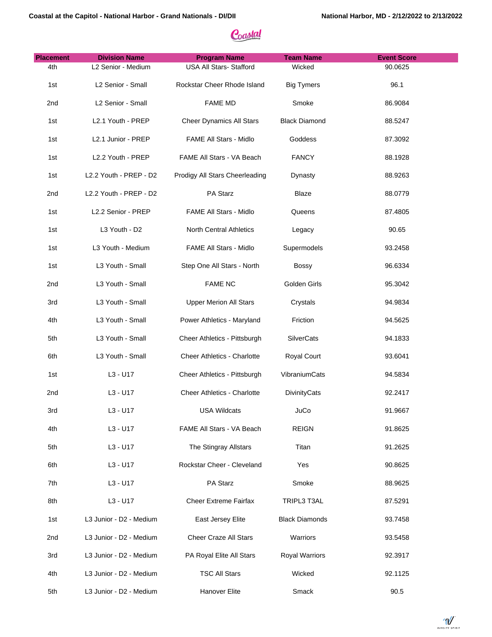| <b>Placement</b> | <b>Division Name</b>    | <b>Program Name</b>                | <b>Team Name</b>      | <b>Event Score</b> |
|------------------|-------------------------|------------------------------------|-----------------------|--------------------|
| 4th              | L2 Senior - Medium      | <b>USA All Stars- Stafford</b>     | Wicked                | 90.0625            |
| 1st              | L2 Senior - Small       | Rockstar Cheer Rhode Island        | <b>Big Tymers</b>     | 96.1               |
| 2nd              | L2 Senior - Small       | <b>FAME MD</b>                     | Smoke                 | 86.9084            |
| 1st              | L2.1 Youth - PREP       | <b>Cheer Dynamics All Stars</b>    | <b>Black Diamond</b>  | 88.5247            |
| 1st              | L2.1 Junior - PREP      | FAME All Stars - Midlo             | Goddess               | 87.3092            |
| 1st              | L2.2 Youth - PREP       | FAME All Stars - VA Beach          | <b>FANCY</b>          | 88.1928            |
| 1st              | L2.2 Youth - PREP - D2  | Prodigy All Stars Cheerleading     | Dynasty               | 88.9263            |
| 2nd              | L2.2 Youth - PREP - D2  | PA Starz                           | <b>Blaze</b>          | 88.0779            |
| 1st              | L2.2 Senior - PREP      | FAME All Stars - Midlo             | Queens                | 87.4805            |
| 1st              | L3 Youth - D2           | North Central Athletics            | Legacy                | 90.65              |
| 1st              | L3 Youth - Medium       | FAME All Stars - Midlo             | Supermodels           | 93.2458            |
| 1st              | L3 Youth - Small        | Step One All Stars - North         | <b>Bossy</b>          | 96.6334            |
| 2nd              | L3 Youth - Small        | <b>FAME NC</b>                     | Golden Girls          | 95.3042            |
| 3rd              | L3 Youth - Small        | <b>Upper Merion All Stars</b>      | Crystals              | 94.9834            |
| 4th              | L3 Youth - Small        | Power Athletics - Maryland         | Friction              | 94.5625            |
| 5th              | L3 Youth - Small        | Cheer Athletics - Pittsburgh       | SilverCats            | 94.1833            |
| 6th              | L3 Youth - Small        | Cheer Athletics - Charlotte        | Royal Court           | 93.6041            |
| 1st              | L3 - U17                | Cheer Athletics - Pittsburgh       | VibraniumCats         | 94.5834            |
| 2nd              | $L3 - U17$              | <b>Cheer Athletics - Charlotte</b> | DivinityCats          | 92.2417            |
| 3rd              | L3 - U17                | <b>USA Wildcats</b>                | JuCo                  | 91.9667            |
| 4th              | L3 - U17                | FAME All Stars - VA Beach          | <b>REIGN</b>          | 91.8625            |
| 5th              | $L3 - U17$              | The Stingray Allstars              | Titan                 | 91.2625            |
| 6th              | L3 - U17                | Rockstar Cheer - Cleveland         | Yes                   | 90.8625            |
| 7th              | $L3 - U17$              | PA Starz                           | Smoke                 | 88.9625            |
| 8th              | $L3 - U17$              | <b>Cheer Extreme Fairfax</b>       | TRIPL3 T3AL           | 87.5291            |
| 1st              | L3 Junior - D2 - Medium | East Jersey Elite                  | <b>Black Diamonds</b> | 93.7458            |
| 2nd              | L3 Junior - D2 - Medium | Cheer Craze All Stars              | Warriors              | 93.5458            |
| 3rd              | L3 Junior - D2 - Medium | PA Royal Elite All Stars           | Royal Warriors        | 92.3917            |
| 4th              | L3 Junior - D2 - Medium | <b>TSC All Stars</b>               | Wicked                | 92.1125            |
| 5th              | L3 Junior - D2 - Medium | Hanover Elite                      | Smack                 | 90.5               |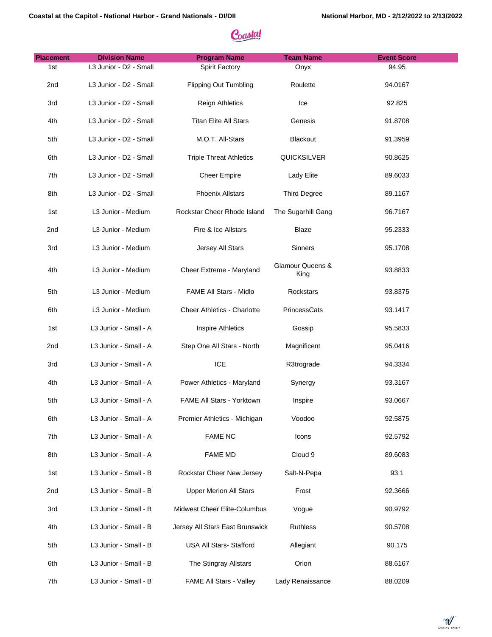| <b>Placement</b> | <b>Division Name</b>   | <b>Program Name</b>                | <b>Team Name</b>         | <b>Event Score</b> |
|------------------|------------------------|------------------------------------|--------------------------|--------------------|
| 1st              | L3 Junior - D2 - Small | Spirit Factory                     | Onyx                     | 94.95              |
| 2 <sub>nd</sub>  | L3 Junior - D2 - Small | <b>Flipping Out Tumbling</b>       | Roulette                 | 94.0167            |
| 3rd              | L3 Junior - D2 - Small | <b>Reign Athletics</b>             | Ice                      | 92.825             |
| 4th              | L3 Junior - D2 - Small | <b>Titan Elite All Stars</b>       | Genesis                  | 91.8708            |
| 5th              | L3 Junior - D2 - Small | M.O.T. All-Stars                   | Blackout                 | 91.3959            |
| 6th              | L3 Junior - D2 - Small | <b>Triple Threat Athletics</b>     | QUICKSILVER              | 90.8625            |
| 7th              | L3 Junior - D2 - Small | <b>Cheer Empire</b>                | Lady Elite               | 89.6033            |
| 8th              | L3 Junior - D2 - Small | <b>Phoenix Allstars</b>            | <b>Third Degree</b>      | 89.1167            |
| 1st              | L3 Junior - Medium     | Rockstar Cheer Rhode Island        | The Sugarhill Gang       | 96.7167            |
| 2nd              | L3 Junior - Medium     | Fire & Ice Allstars                | Blaze                    | 95.2333            |
| 3rd              | L3 Junior - Medium     | Jersey All Stars                   | Sinners                  | 95.1708            |
| 4th              | L3 Junior - Medium     | Cheer Extreme - Maryland           | Glamour Queens &<br>King | 93.8833            |
| 5th              | L3 Junior - Medium     | <b>FAME All Stars - Midlo</b>      | Rockstars                | 93.8375            |
| 6th              | L3 Junior - Medium     | <b>Cheer Athletics - Charlotte</b> | PrincessCats             | 93.1417            |
| 1st              | L3 Junior - Small - A  | <b>Inspire Athletics</b>           | Gossip                   | 95.5833            |
| 2nd              | L3 Junior - Small - A  | Step One All Stars - North         | Magnificent              | 95.0416            |
| 3rd              | L3 Junior - Small - A  | <b>ICE</b>                         | R3trograde               | 94.3334            |
| 4th              | L3 Junior - Small - A  | Power Athletics - Maryland         | Synergy                  | 93.3167            |
| 5th              | L3 Junior - Small - A  | FAME All Stars - Yorktown          | Inspire                  | 93.0667            |
| 6th              | L3 Junior - Small - A  | Premier Athletics - Michigan       | Voodoo                   | 92.5875            |
| 7th              | L3 Junior - Small - A  | <b>FAME NC</b>                     | Icons                    | 92.5792            |
| 8th              | L3 Junior - Small - A  | <b>FAME MD</b>                     | Cloud 9                  | 89.6083            |
| 1st              | L3 Junior - Small - B  | Rockstar Cheer New Jersey          | Salt-N-Pepa              | 93.1               |
| 2nd              | L3 Junior - Small - B  | <b>Upper Merion All Stars</b>      | Frost                    | 92.3666            |
| 3rd              | L3 Junior - Small - B  | Midwest Cheer Elite-Columbus       | Vogue                    | 90.9792            |
| 4th              | L3 Junior - Small - B  | Jersey All Stars East Brunswick    | Ruthless                 | 90.5708            |
| 5th              | L3 Junior - Small - B  | USA All Stars- Stafford            | Allegiant                | 90.175             |
| 6th              | L3 Junior - Small - B  | The Stingray Allstars              | Orion                    | 88.6167            |
| 7th              | L3 Junior - Small - B  | FAME All Stars - Valley            | Lady Renaissance         | 88.0209            |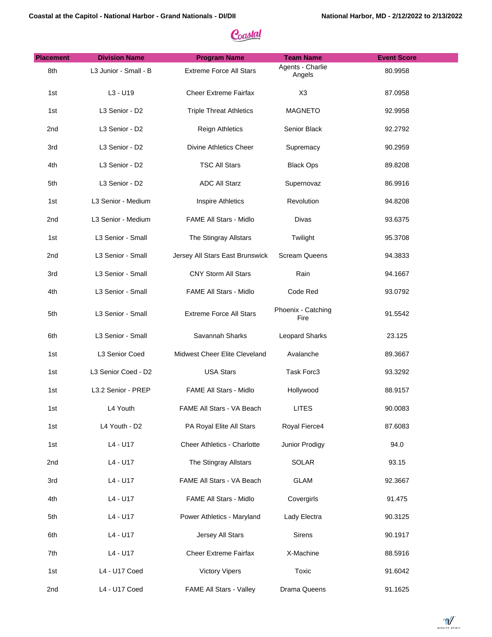| <b>Placement</b> | <b>Division Name</b>  | <b>Program Name</b>                | <b>Team Name</b>           | <b>Event Score</b> |
|------------------|-----------------------|------------------------------------|----------------------------|--------------------|
| 8th              | L3 Junior - Small - B | <b>Extreme Force All Stars</b>     | Agents - Charlie<br>Angels | 80.9958            |
| 1st              | L3 - U19              | <b>Cheer Extreme Fairfax</b>       | X <sub>3</sub>             | 87.0958            |
| 1st              | L3 Senior - D2        | <b>Triple Threat Athletics</b>     | <b>MAGNETO</b>             | 92.9958            |
| 2nd              | L3 Senior - D2        | <b>Reign Athletics</b>             | Senior Black               | 92.2792            |
| 3rd              | L3 Senior - D2        | Divine Athletics Cheer             | Supremacy                  | 90.2959            |
| 4th              | L3 Senior - D2        | <b>TSC All Stars</b>               | <b>Black Ops</b>           | 89.8208            |
| 5th              | L3 Senior - D2        | <b>ADC All Starz</b>               | Supernovaz                 | 86.9916            |
| 1st              | L3 Senior - Medium    | <b>Inspire Athletics</b>           | Revolution                 | 94.8208            |
| 2nd              | L3 Senior - Medium    | FAME All Stars - Midlo             | Divas                      | 93.6375            |
| 1st              | L3 Senior - Small     | The Stingray Allstars              | Twilight                   | 95.3708            |
| 2nd              | L3 Senior - Small     | Jersey All Stars East Brunswick    | <b>Scream Queens</b>       | 94.3833            |
| 3rd              | L3 Senior - Small     | CNY Storm All Stars                | Rain                       | 94.1667            |
| 4th              | L3 Senior - Small     | FAME All Stars - Midlo             | Code Red                   | 93.0792            |
| 5th              | L3 Senior - Small     | <b>Extreme Force All Stars</b>     | Phoenix - Catching<br>Fire | 91.5542            |
| 6th              | L3 Senior - Small     | Savannah Sharks                    | Leopard Sharks             | 23.125             |
| 1st              | L3 Senior Coed        | Midwest Cheer Elite Cleveland      | Avalanche                  | 89.3667            |
| 1st              | L3 Senior Coed - D2   | <b>USA Stars</b>                   | Task Forc3                 | 93.3292            |
| 1st              | L3.2 Senior - PREP    | FAME All Stars - Midlo             | Hollywood                  | 88.9157            |
| 1st              | L4 Youth              | FAME All Stars - VA Beach          | <b>LITES</b>               | 90.0083            |
| 1st              | L4 Youth - D2         | PA Royal Elite All Stars           | Royal Fierce4              | 87.6083            |
| 1st              | L4 - U17              | <b>Cheer Athletics - Charlotte</b> | Junior Prodigy             | 94.0               |
| 2nd              | L4 - U17              | The Stingray Allstars              | <b>SOLAR</b>               | 93.15              |
| 3rd              | L4 - U17              | FAME All Stars - VA Beach          | <b>GLAM</b>                | 92.3667            |
| 4th              | L4 - U17              | FAME All Stars - Midlo             | Covergirls                 | 91.475             |
| 5th              | L4 - U17              | Power Athletics - Maryland         | Lady Electra               | 90.3125            |
| 6th              | L4 - U17              | Jersey All Stars                   | Sirens                     | 90.1917            |
| 7th              | L4 - U17              | <b>Cheer Extreme Fairfax</b>       | X-Machine                  | 88.5916            |
| 1st              | L4 - U17 Coed         | <b>Victory Vipers</b>              | Toxic                      | 91.6042            |
| 2 <sub>nd</sub>  | L4 - U17 Coed         | FAME All Stars - Valley            | Drama Queens               | 91.1625            |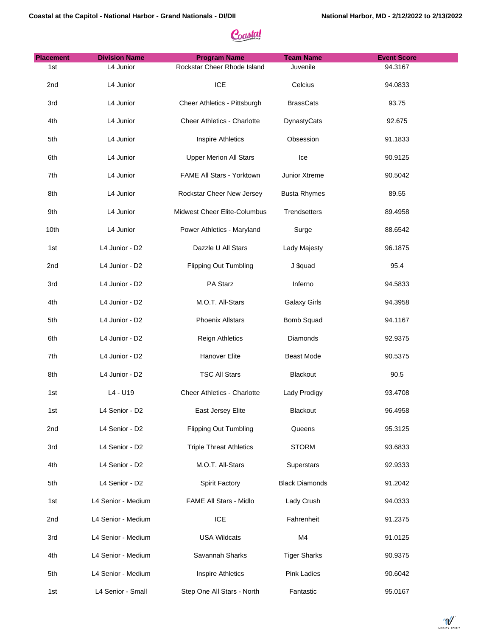| <b>Placement</b> | <b>Division Name</b> | <b>Program Name</b>                | <b>Team Name</b>      | <b>Event Score</b> |
|------------------|----------------------|------------------------------------|-----------------------|--------------------|
| 1st              | L4 Junior            | Rockstar Cheer Rhode Island        | Juvenile              | 94.3167            |
| 2nd              | L4 Junior            | <b>ICE</b>                         | Celcius               | 94.0833            |
| 3rd              | L4 Junior            | Cheer Athletics - Pittsburgh       | <b>BrassCats</b>      | 93.75              |
| 4th              | L4 Junior            | <b>Cheer Athletics - Charlotte</b> | DynastyCats           | 92.675             |
| 5th              | L4 Junior            | <b>Inspire Athletics</b>           | Obsession             | 91.1833            |
| 6th              | L4 Junior            | <b>Upper Merion All Stars</b>      | Ice                   | 90.9125            |
| 7th              | L4 Junior            | FAME All Stars - Yorktown          | Junior Xtreme         | 90.5042            |
| 8th              | L4 Junior            | Rockstar Cheer New Jersey          | <b>Busta Rhymes</b>   | 89.55              |
| 9th              | L4 Junior            | Midwest Cheer Elite-Columbus       | Trendsetters          | 89.4958            |
| 10th             | L4 Junior            | Power Athletics - Maryland         | Surge                 | 88.6542            |
| 1st              | L4 Junior - D2       | Dazzle U All Stars                 | Lady Majesty          | 96.1875            |
| 2nd              | L4 Junior - D2       | <b>Flipping Out Tumbling</b>       | J \$quad              | 95.4               |
| 3rd              | L4 Junior - D2       | PA Starz                           | Inferno               | 94.5833            |
| 4th              | L4 Junior - D2       | M.O.T. All-Stars                   | <b>Galaxy Girls</b>   | 94.3958            |
| 5th              | L4 Junior - D2       | <b>Phoenix Allstars</b>            | Bomb Squad            | 94.1167            |
| 6th              | L4 Junior - D2       | <b>Reign Athletics</b>             | Diamonds              | 92.9375            |
| 7th              | L4 Junior - D2       | Hanover Elite                      | Beast Mode            | 90.5375            |
| 8th              | L4 Junior - D2       | <b>TSC All Stars</b>               | Blackout              | 90.5               |
| 1st              | L4 - U19             | Cheer Athletics - Charlotte        | Lady Prodigy          | 93.4708            |
| 1st              | L4 Senior - D2       | East Jersey Elite                  | Blackout              | 96.4958            |
| 2nd              | L4 Senior - D2       | <b>Flipping Out Tumbling</b>       | Queens                | 95.3125            |
| 3rd              | L4 Senior - D2       | <b>Triple Threat Athletics</b>     | <b>STORM</b>          | 93.6833            |
| 4th              | L4 Senior - D2       | M.O.T. All-Stars                   | Superstars            | 92.9333            |
| 5th              | L4 Senior - D2       | Spirit Factory                     | <b>Black Diamonds</b> | 91.2042            |
| 1st              | L4 Senior - Medium   | FAME All Stars - Midlo             | Lady Crush            | 94.0333            |
| 2nd              | L4 Senior - Medium   | ICE                                | Fahrenheit            | 91.2375            |
| 3rd              | L4 Senior - Medium   | <b>USA Wildcats</b>                | M4                    | 91.0125            |
| 4th              | L4 Senior - Medium   | Savannah Sharks                    | <b>Tiger Sharks</b>   | 90.9375            |
| 5th              | L4 Senior - Medium   | <b>Inspire Athletics</b>           | <b>Pink Ladies</b>    | 90.6042            |
| 1st              | L4 Senior - Small    | Step One All Stars - North         | Fantastic             | 95.0167            |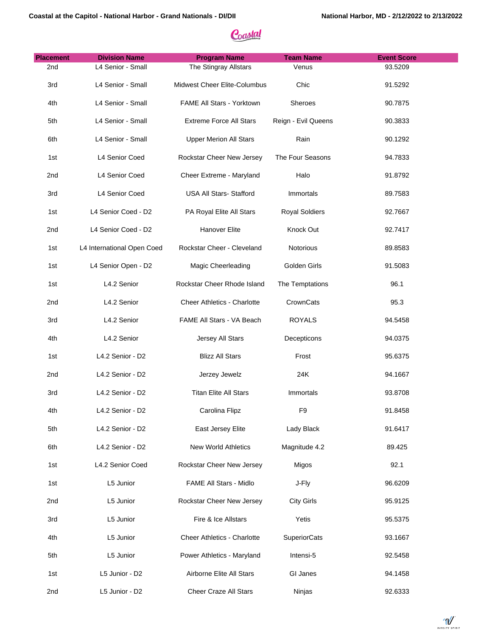| <b>Placement</b> | <b>Division Name</b>       | <b>Program Name</b>           | <b>Team Name</b>      | <b>Event Score</b> |
|------------------|----------------------------|-------------------------------|-----------------------|--------------------|
| 2nd              | L4 Senior - Small          | The Stingray Allstars         | Venus                 | 93.5209            |
| 3rd              | L4 Senior - Small          | Midwest Cheer Elite-Columbus  | Chic                  | 91.5292            |
| 4th              | L4 Senior - Small          | FAME All Stars - Yorktown     | Sheroes               | 90.7875            |
| 5th              | L4 Senior - Small          | Extreme Force All Stars       | Reign - Evil Queens   | 90.3833            |
| 6th              | L4 Senior - Small          | <b>Upper Merion All Stars</b> | Rain                  | 90.1292            |
| 1st              | L4 Senior Coed             | Rockstar Cheer New Jersey     | The Four Seasons      | 94.7833            |
| 2nd              | L4 Senior Coed             | Cheer Extreme - Maryland      | Halo                  | 91.8792            |
| 3rd              | L4 Senior Coed             | USA All Stars- Stafford       | Immortals             | 89.7583            |
| 1st              | L4 Senior Coed - D2        | PA Royal Elite All Stars      | <b>Royal Soldiers</b> | 92.7667            |
| 2nd              | L4 Senior Coed - D2        | Hanover Elite                 | Knock Out             | 92.7417            |
| 1st              | L4 International Open Coed | Rockstar Cheer - Cleveland    | Notorious             | 89.8583            |
| 1st              | L4 Senior Open - D2        | Magic Cheerleading            | Golden Girls          | 91.5083            |
| 1st              | L4.2 Senior                | Rockstar Cheer Rhode Island   | The Temptations       | 96.1               |
| 2nd              | L4.2 Senior                | Cheer Athletics - Charlotte   | CrownCats             | 95.3               |
| 3rd              | L4.2 Senior                | FAME All Stars - VA Beach     | <b>ROYALS</b>         | 94.5458            |
| 4th              | L4.2 Senior                | Jersey All Stars              | Decepticons           | 94.0375            |
| 1st              | L4.2 Senior - D2           | <b>Blizz All Stars</b>        | Frost                 | 95.6375            |
| 2nd              | L4.2 Senior - D2           | Jerzey Jewelz                 | 24K                   | 94.1667            |
| 3rd              | L4.2 Senior - D2           | <b>Titan Elite All Stars</b>  | Immortals             | 93.8708            |
| 4th              | L4.2 Senior - D2           | Carolina Flipz                | F <sub>9</sub>        | 91.8458            |
| 5th              | L4.2 Senior - D2           | East Jersey Elite             | Lady Black            | 91.6417            |
| 6th              | L4.2 Senior - D2           | New World Athletics           | Magnitude 4.2         | 89.425             |
| 1st              | L4.2 Senior Coed           | Rockstar Cheer New Jersey     | Migos                 | 92.1               |
| 1st              | L5 Junior                  | FAME All Stars - Midlo        | J-Fly                 | 96.6209            |
| 2nd              | L5 Junior                  | Rockstar Cheer New Jersey     | <b>City Girls</b>     | 95.9125            |
| 3rd              | L5 Junior                  | Fire & Ice Allstars           | Yetis                 | 95.5375            |
| 4th              | L5 Junior                  | Cheer Athletics - Charlotte   | <b>SuperiorCats</b>   | 93.1667            |
| 5th              | L5 Junior                  | Power Athletics - Maryland    | Intensi-5             | 92.5458            |
| 1st              | L5 Junior - D2             | Airborne Elite All Stars      | GI Janes              | 94.1458            |
| 2nd              | L5 Junior - D2             | Cheer Craze All Stars         | Ninjas                | 92.6333            |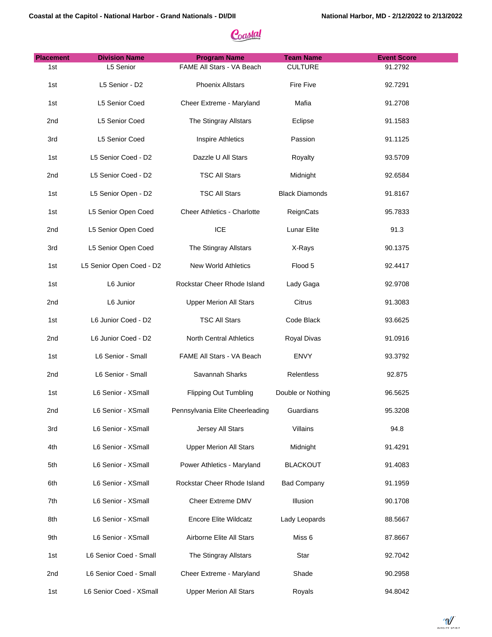| <b>Placement</b> | <b>Division Name</b>     | <b>Program Name</b>             | <b>Team Name</b>      | <b>Event Score</b> |
|------------------|--------------------------|---------------------------------|-----------------------|--------------------|
| 1st              | L5 Senior                | FAME All Stars - VA Beach       | <b>CULTURE</b>        | 91.2792            |
| 1st              | L5 Senior - D2           | <b>Phoenix Allstars</b>         | Fire Five             | 92.7291            |
| 1st              | L5 Senior Coed           | Cheer Extreme - Maryland        | Mafia                 | 91.2708            |
| 2nd              | L5 Senior Coed           | The Stingray Allstars           | Eclipse               | 91.1583            |
| 3rd              | L5 Senior Coed           | <b>Inspire Athletics</b>        | Passion               | 91.1125            |
| 1st              | L5 Senior Coed - D2      | Dazzle U All Stars              | Royalty               | 93.5709            |
| 2nd              | L5 Senior Coed - D2      | <b>TSC All Stars</b>            | Midnight              | 92.6584            |
| 1st              | L5 Senior Open - D2      | <b>TSC All Stars</b>            | <b>Black Diamonds</b> | 91.8167            |
| 1st              | L5 Senior Open Coed      | Cheer Athletics - Charlotte     | ReignCats             | 95.7833            |
| 2nd              | L5 Senior Open Coed      | ICE                             | Lunar Elite           | 91.3               |
| 3rd              | L5 Senior Open Coed      | The Stingray Allstars           | X-Rays                | 90.1375            |
| 1st              | L5 Senior Open Coed - D2 | <b>New World Athletics</b>      | Flood 5               | 92.4417            |
| 1st              | L6 Junior                | Rockstar Cheer Rhode Island     | Lady Gaga             | 92.9708            |
| 2nd              | L6 Junior                | <b>Upper Merion All Stars</b>   | Citrus                | 91.3083            |
| 1st              | L6 Junior Coed - D2      | <b>TSC All Stars</b>            | Code Black            | 93.6625            |
| 2nd              | L6 Junior Coed - D2      | North Central Athletics         | Royal Divas           | 91.0916            |
| 1st              | L6 Senior - Small        | FAME All Stars - VA Beach       | <b>ENVY</b>           | 93.3792            |
| 2nd              | L6 Senior - Small        | Savannah Sharks                 | Relentless            | 92.875             |
| 1st              | L6 Senior - XSmall       | <b>Flipping Out Tumbling</b>    | Double or Nothing     | 96.5625            |
| 2nd              | L6 Senior - XSmall       | Pennsylvania Elite Cheerleading | Guardians             | 95.3208            |
| 3rd              | L6 Senior - XSmall       | Jersey All Stars                | Villains              | 94.8               |
| 4th              | L6 Senior - XSmall       | <b>Upper Merion All Stars</b>   | Midnight              | 91.4291            |
| 5th              | L6 Senior - XSmall       | Power Athletics - Maryland      | <b>BLACKOUT</b>       | 91.4083            |
| 6th              | L6 Senior - XSmall       | Rockstar Cheer Rhode Island     | <b>Bad Company</b>    | 91.1959            |
| 7th              | L6 Senior - XSmall       | Cheer Extreme DMV               | Illusion              | 90.1708            |
| 8th              | L6 Senior - XSmall       | <b>Encore Elite Wildcatz</b>    | Lady Leopards         | 88.5667            |
| 9th              | L6 Senior - XSmall       | Airborne Elite All Stars        | Miss 6                | 87.8667            |
| 1st              | L6 Senior Coed - Small   | The Stingray Allstars           | Star                  | 92.7042            |
| 2nd              | L6 Senior Coed - Small   | Cheer Extreme - Maryland        | Shade                 | 90.2958            |
| 1st              | L6 Senior Coed - XSmall  | <b>Upper Merion All Stars</b>   | Royals                | 94.8042            |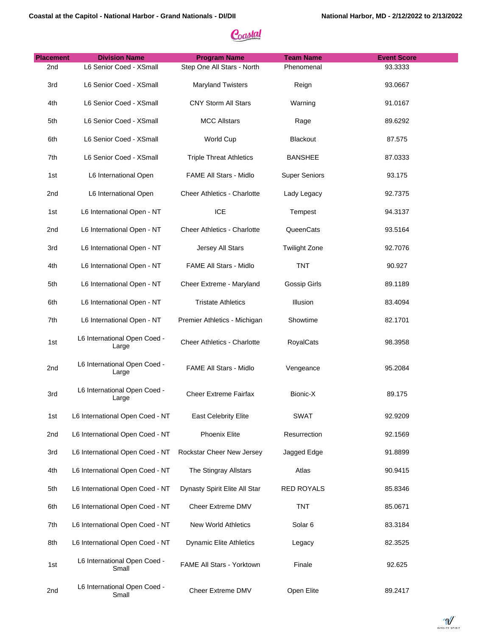| <b>Placement</b> | <b>Division Name</b>                  | <b>Program Name</b>                | <b>Team Name</b>     | <b>Event Score</b> |
|------------------|---------------------------------------|------------------------------------|----------------------|--------------------|
| 2 <sub>nd</sub>  | L6 Senior Coed - XSmall               | Step One All Stars - North         | Phenomenal           | 93.3333            |
| 3rd              | L6 Senior Coed - XSmall               | <b>Maryland Twisters</b>           | Reign                | 93.0667            |
| 4th              | L6 Senior Coed - XSmall               | <b>CNY Storm All Stars</b>         | Warning              | 91.0167            |
| 5th              | L6 Senior Coed - XSmall               | <b>MCC Allstars</b>                | Rage                 | 89.6292            |
| 6th              | L6 Senior Coed - XSmall               | World Cup                          | <b>Blackout</b>      | 87.575             |
| 7th              | L6 Senior Coed - XSmall               | <b>Triple Threat Athletics</b>     | <b>BANSHEE</b>       | 87.0333            |
| 1st              | L6 International Open                 | FAME All Stars - Midlo             | <b>Super Seniors</b> | 93.175             |
| 2 <sub>nd</sub>  | L6 International Open                 | <b>Cheer Athletics - Charlotte</b> | Lady Legacy          | 92.7375            |
| 1st              | L6 International Open - NT            | <b>ICE</b>                         | Tempest              | 94.3137            |
| 2 <sub>nd</sub>  | L6 International Open - NT            | <b>Cheer Athletics - Charlotte</b> | QueenCats            | 93.5164            |
| 3rd              | L6 International Open - NT            | Jersey All Stars                   | <b>Twilight Zone</b> | 92.7076            |
| 4th              | L6 International Open - NT            | <b>FAME All Stars - Midlo</b>      | <b>TNT</b>           | 90.927             |
| 5th              | L6 International Open - NT            | Cheer Extreme - Maryland           | Gossip Girls         | 89.1189            |
| 6th              | L6 International Open - NT            | <b>Tristate Athletics</b>          | Illusion             | 83.4094            |
| 7th              | L6 International Open - NT            | Premier Athletics - Michigan       | Showtime             | 82.1701            |
| 1st              | L6 International Open Coed -<br>Large | <b>Cheer Athletics - Charlotte</b> | <b>RoyalCats</b>     | 98.3958            |
| 2nd              | L6 International Open Coed -<br>Large | FAME All Stars - Midlo             | Vengeance            | 95.2084            |
| 3rd              | L6 International Open Coed -<br>Large | <b>Cheer Extreme Fairfax</b>       | Bionic-X             | 89.175             |
| 1st              | L6 International Open Coed - NT       | <b>East Celebrity Elite</b>        | <b>SWAT</b>          | 92.9209            |
| 2nd              | L6 International Open Coed - NT       | Phoenix Elite                      | Resurrection         | 92.1569            |
| 3rd              | L6 International Open Coed - NT       | Rockstar Cheer New Jersey          | Jagged Edge          | 91.8899            |
| 4th              | L6 International Open Coed - NT       | The Stingray Allstars              | Atlas                | 90.9415            |
| 5th              | L6 International Open Coed - NT       | Dynasty Spirit Elite All Star      | <b>RED ROYALS</b>    | 85.8346            |
| 6th              | L6 International Open Coed - NT       | Cheer Extreme DMV                  | <b>TNT</b>           | 85.0671            |
| 7th              | L6 International Open Coed - NT       | New World Athletics                | Solar <sub>6</sub>   | 83.3184            |
| 8th              | L6 International Open Coed - NT       | <b>Dynamic Elite Athletics</b>     | Legacy               | 82.3525            |
| 1st              | L6 International Open Coed -<br>Small | FAME All Stars - Yorktown          | Finale               | 92.625             |
| 2nd              | L6 International Open Coed -<br>Small | Cheer Extreme DMV                  | Open Elite           | 89.2417            |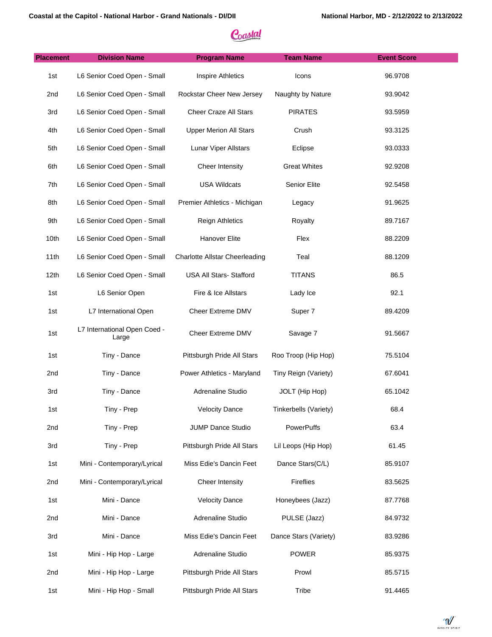| <b>Placement</b> | <b>Division Name</b>                  | <b>Program Name</b>                   | <b>Team Name</b>      | <b>Event Score</b> |
|------------------|---------------------------------------|---------------------------------------|-----------------------|--------------------|
| 1st              | L6 Senior Coed Open - Small           | <b>Inspire Athletics</b>              | Icons                 | 96.9708            |
| 2nd              | L6 Senior Coed Open - Small           | Rockstar Cheer New Jersey             | Naughty by Nature     | 93.9042            |
| 3rd              | L6 Senior Coed Open - Small           | Cheer Craze All Stars                 | <b>PIRATES</b>        | 93.5959            |
| 4th              | L6 Senior Coed Open - Small           | <b>Upper Merion All Stars</b>         | Crush                 | 93.3125            |
| 5th              | L6 Senior Coed Open - Small           | Lunar Viper Allstars                  | Eclipse               | 93.0333            |
| 6th              | L6 Senior Coed Open - Small           | Cheer Intensity                       | <b>Great Whites</b>   | 92.9208            |
| 7th              | L6 Senior Coed Open - Small           | <b>USA Wildcats</b>                   | Senior Elite          | 92.5458            |
| 8th              | L6 Senior Coed Open - Small           | Premier Athletics - Michigan          | Legacy                | 91.9625            |
| 9th              | L6 Senior Coed Open - Small           | <b>Reign Athletics</b>                | Royalty               | 89.7167            |
| 10th             | L6 Senior Coed Open - Small           | Hanover Elite                         | Flex                  | 88.2209            |
| 11th             | L6 Senior Coed Open - Small           | <b>Charlotte Allstar Cheerleading</b> | Teal                  | 88.1209            |
| 12 <sub>th</sub> | L6 Senior Coed Open - Small           | USA All Stars- Stafford               | <b>TITANS</b>         | 86.5               |
| 1st              | L6 Senior Open                        | Fire & Ice Allstars                   | Lady Ice              | 92.1               |
| 1st              | L7 International Open                 | Cheer Extreme DMV                     | Super 7               | 89.4209            |
| 1st              | L7 International Open Coed -<br>Large | Cheer Extreme DMV                     | Savage 7              | 91.5667            |
| 1st              | Tiny - Dance                          | Pittsburgh Pride All Stars            | Roo Troop (Hip Hop)   | 75.5104            |
| 2nd              | Tiny - Dance                          | Power Athletics - Maryland            | Tiny Reign (Variety)  | 67.6041            |
| 3rd              | Tiny - Dance                          | Adrenaline Studio                     | JOLT (Hip Hop)        | 65.1042            |
| 1st              | Tiny - Prep                           | <b>Velocity Dance</b>                 | Tinkerbells (Variety) | 68.4               |
| 2nd              | Tiny - Prep                           | <b>JUMP Dance Studio</b>              | PowerPuffs            | 63.4               |
| 3rd              | Tiny - Prep                           | Pittsburgh Pride All Stars            | Lil Leops (Hip Hop)   | 61.45              |
| 1st              | Mini - Contemporary/Lyrical           | Miss Edie's Dancin Feet               | Dance Stars(C/L)      | 85.9107            |
| 2nd              | Mini - Contemporary/Lyrical           | Cheer Intensity                       | Fireflies             | 83.5625            |
| 1st              | Mini - Dance                          | <b>Velocity Dance</b>                 | Honeybees (Jazz)      | 87.7768            |
| 2nd              | Mini - Dance                          | Adrenaline Studio                     | PULSE (Jazz)          | 84.9732            |
| 3rd              | Mini - Dance                          | Miss Edie's Dancin Feet               | Dance Stars (Variety) | 83.9286            |
| 1st              | Mini - Hip Hop - Large                | Adrenaline Studio                     | <b>POWER</b>          | 85.9375            |
| 2nd              | Mini - Hip Hop - Large                | Pittsburgh Pride All Stars            | Prowl                 | 85.5715            |
| 1st              | Mini - Hip Hop - Small                | Pittsburgh Pride All Stars            | Tribe                 | 91.4465            |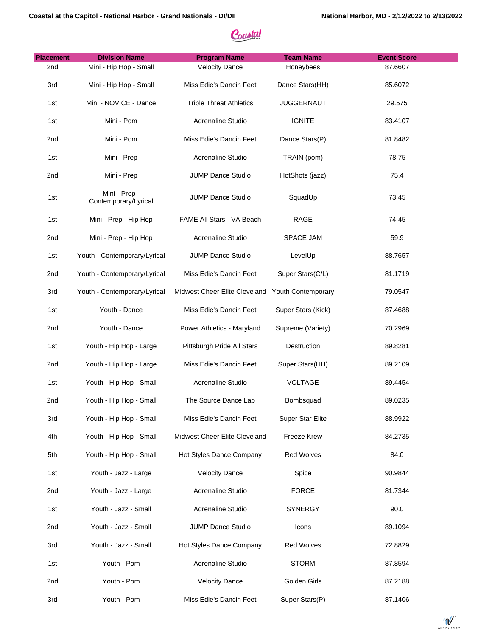| <b>Placement</b> | <b>Division Name</b>                  | <b>Program Name</b>            | <b>Team Name</b>   | <b>Event Score</b> |
|------------------|---------------------------------------|--------------------------------|--------------------|--------------------|
| 2nd              | Mini - Hip Hop - Small                | <b>Velocity Dance</b>          | Honeybees          | 87.6607            |
| 3rd              | Mini - Hip Hop - Small                | Miss Edie's Dancin Feet        | Dance Stars(HH)    | 85.6072            |
| 1st              | Mini - NOVICE - Dance                 | <b>Triple Threat Athletics</b> | <b>JUGGERNAUT</b>  | 29.575             |
| 1st              | Mini - Pom                            | Adrenaline Studio              | <b>IGNITE</b>      | 83.4107            |
| 2nd              | Mini - Pom                            | Miss Edie's Dancin Feet        | Dance Stars(P)     | 81.8482            |
| 1st              | Mini - Prep                           | Adrenaline Studio              | TRAIN (pom)        | 78.75              |
| 2nd              | Mini - Prep                           | JUMP Dance Studio              | HotShots (jazz)    | 75.4               |
| 1st              | Mini - Prep -<br>Contemporary/Lyrical | JUMP Dance Studio              | SquadUp            | 73.45              |
| 1st              | Mini - Prep - Hip Hop                 | FAME All Stars - VA Beach      | RAGE               | 74.45              |
| 2nd              | Mini - Prep - Hip Hop                 | Adrenaline Studio              | <b>SPACE JAM</b>   | 59.9               |
| 1st              | Youth - Contemporary/Lyrical          | JUMP Dance Studio              | LevelUp            | 88.7657            |
| 2nd              | Youth - Contemporary/Lyrical          | Miss Edie's Dancin Feet        | Super Stars(C/L)   | 81.1719            |
| 3rd              | Youth - Contemporary/Lyrical          | Midwest Cheer Elite Cleveland  | Youth Contemporary | 79.0547            |
| 1st              | Youth - Dance                         | Miss Edie's Dancin Feet        | Super Stars (Kick) | 87.4688            |
| 2nd              | Youth - Dance                         | Power Athletics - Maryland     | Supreme (Variety)  | 70.2969            |
| 1st              | Youth - Hip Hop - Large               | Pittsburgh Pride All Stars     | Destruction        | 89.8281            |
| 2nd              | Youth - Hip Hop - Large               | Miss Edie's Dancin Feet        | Super Stars(HH)    | 89.2109            |
| 1st              | Youth - Hip Hop - Small               | Adrenaline Studio              | <b>VOLTAGE</b>     | 89.4454            |
| 2nd              | Youth - Hip Hop - Small               | The Source Dance Lab           | Bombsquad          | 89.0235            |
| 3rd              | Youth - Hip Hop - Small               | Miss Edie's Dancin Feet        | Super Star Elite   | 88.9922            |
| 4th              | Youth - Hip Hop - Small               | Midwest Cheer Elite Cleveland  | Freeze Krew        | 84.2735            |
| 5th              | Youth - Hip Hop - Small               | Hot Styles Dance Company       | <b>Red Wolves</b>  | 84.0               |
| 1st              | Youth - Jazz - Large                  | <b>Velocity Dance</b>          | Spice              | 90.9844            |
| 2nd              | Youth - Jazz - Large                  | Adrenaline Studio              | <b>FORCE</b>       | 81.7344            |
| 1st              | Youth - Jazz - Small                  | Adrenaline Studio              | <b>SYNERGY</b>     | 90.0               |
| 2nd              | Youth - Jazz - Small                  | JUMP Dance Studio              | Icons              | 89.1094            |
| 3rd              | Youth - Jazz - Small                  | Hot Styles Dance Company       | <b>Red Wolves</b>  | 72.8829            |
| 1st              | Youth - Pom                           | Adrenaline Studio              | <b>STORM</b>       | 87.8594            |
| 2nd              | Youth - Pom                           | <b>Velocity Dance</b>          | Golden Girls       | 87.2188            |
| 3rd              | Youth - Pom                           | Miss Edie's Dancin Feet        | Super Stars(P)     | 87.1406            |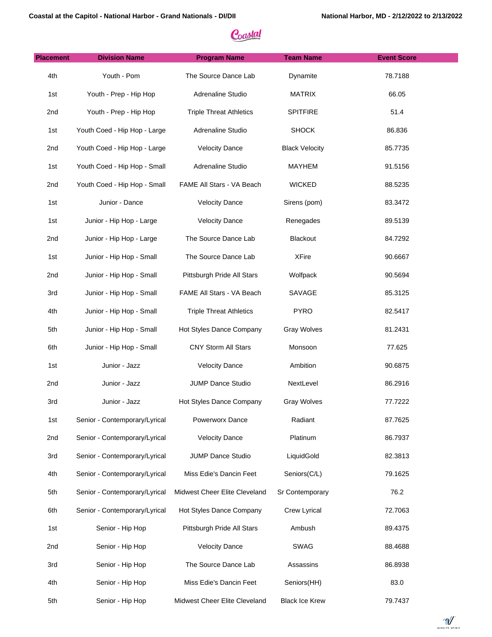| <b>Placement</b> | <b>Division Name</b>          | <b>Program Name</b>            | <b>Team Name</b>      | <b>Event Score</b> |
|------------------|-------------------------------|--------------------------------|-----------------------|--------------------|
| 4th              | Youth - Pom                   | The Source Dance Lab           | Dynamite              | 78.7188            |
| 1st              | Youth - Prep - Hip Hop        | Adrenaline Studio              | <b>MATRIX</b>         | 66.05              |
| 2nd              | Youth - Prep - Hip Hop        | <b>Triple Threat Athletics</b> | <b>SPITFIRE</b>       | 51.4               |
| 1st              | Youth Coed - Hip Hop - Large  | Adrenaline Studio              | <b>SHOCK</b>          | 86.836             |
| 2nd              | Youth Coed - Hip Hop - Large  | <b>Velocity Dance</b>          | <b>Black Velocity</b> | 85.7735            |
| 1st              | Youth Coed - Hip Hop - Small  | Adrenaline Studio              | <b>MAYHEM</b>         | 91.5156            |
| 2nd              | Youth Coed - Hip Hop - Small  | FAME All Stars - VA Beach      | <b>WICKED</b>         | 88.5235            |
| 1st              | Junior - Dance                | <b>Velocity Dance</b>          | Sirens (pom)          | 83.3472            |
| 1st              | Junior - Hip Hop - Large      | <b>Velocity Dance</b>          | Renegades             | 89.5139            |
| 2nd              | Junior - Hip Hop - Large      | The Source Dance Lab           | Blackout              | 84.7292            |
| 1st              | Junior - Hip Hop - Small      | The Source Dance Lab           | <b>XFire</b>          | 90.6667            |
| 2nd              | Junior - Hip Hop - Small      | Pittsburgh Pride All Stars     | Wolfpack              | 90.5694            |
| 3rd              | Junior - Hip Hop - Small      | FAME All Stars - VA Beach      | SAVAGE                | 85.3125            |
| 4th              | Junior - Hip Hop - Small      | <b>Triple Threat Athletics</b> | <b>PYRO</b>           | 82.5417            |
| 5th              | Junior - Hip Hop - Small      | Hot Styles Dance Company       | <b>Gray Wolves</b>    | 81.2431            |
| 6th              | Junior - Hip Hop - Small      | CNY Storm All Stars            | Monsoon               | 77.625             |
| 1st              | Junior - Jazz                 | <b>Velocity Dance</b>          | Ambition              | 90.6875            |
| 2nd              | Junior - Jazz                 | JUMP Dance Studio              | NextLevel             | 86.2916            |
| 3rd              | Junior - Jazz                 | Hot Styles Dance Company       | <b>Gray Wolves</b>    | 77.7222            |
| 1st              | Senior - Contemporary/Lyrical | Powerworx Dance                | Radiant               | 87.7625            |
| 2nd              | Senior - Contemporary/Lyrical | <b>Velocity Dance</b>          | Platinum              | 86.7937            |
| 3rd              | Senior - Contemporary/Lyrical | JUMP Dance Studio              | LiquidGold            | 82.3813            |
| 4th              | Senior - Contemporary/Lyrical | Miss Edie's Dancin Feet        | Seniors(C/L)          | 79.1625            |
| 5th              | Senior - Contemporary/Lyrical | Midwest Cheer Elite Cleveland  | Sr Contemporary       | 76.2               |
| 6th              | Senior - Contemporary/Lyrical | Hot Styles Dance Company       | Crew Lyrical          | 72.7063            |
| 1st              | Senior - Hip Hop              | Pittsburgh Pride All Stars     | Ambush                | 89.4375            |
| 2nd              | Senior - Hip Hop              | <b>Velocity Dance</b>          | SWAG                  | 88.4688            |
| 3rd              | Senior - Hip Hop              | The Source Dance Lab           | Assassins             | 86.8938            |
| 4th              | Senior - Hip Hop              | Miss Edie's Dancin Feet        | Seniors(HH)           | 83.0               |
| 5th              | Senior - Hip Hop              | Midwest Cheer Elite Cleveland  | <b>Black Ice Krew</b> | 79.7437            |